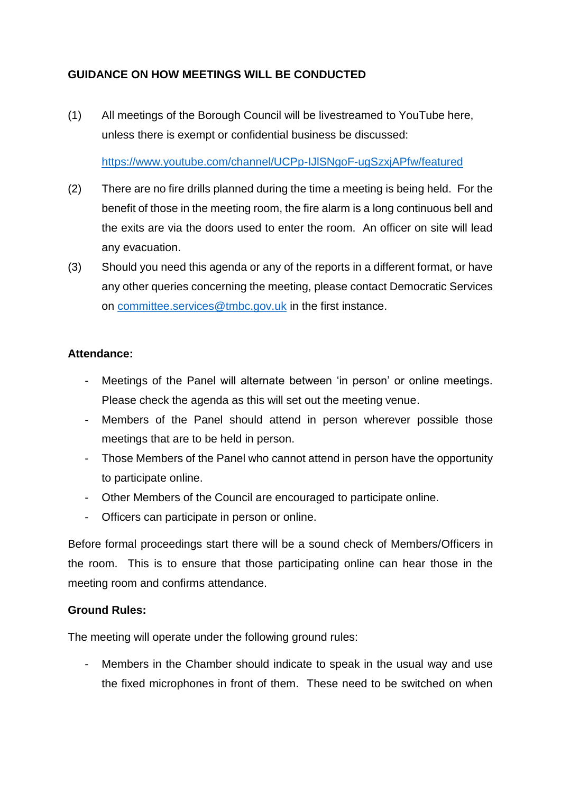## **GUIDANCE ON HOW MEETINGS WILL BE CONDUCTED**

(1) All meetings of the Borough Council will be livestreamed to YouTube here, unless there is exempt or confidential business be discussed:

<https://www.youtube.com/channel/UCPp-IJlSNgoF-ugSzxjAPfw/featured>

- (2) There are no fire drills planned during the time a meeting is being held. For the benefit of those in the meeting room, the fire alarm is a long continuous bell and the exits are via the doors used to enter the room. An officer on site will lead any evacuation.
- (3) Should you need this agenda or any of the reports in a different format, or have any other queries concerning the meeting, please contact Democratic Services on [committee.services@tmbc.gov.uk](mailto:committee.services@tmbc.gov.uk) in the first instance.

## **Attendance:**

- Meetings of the Panel will alternate between 'in person' or online meetings. Please check the agenda as this will set out the meeting venue.
- Members of the Panel should attend in person wherever possible those meetings that are to be held in person.
- Those Members of the Panel who cannot attend in person have the opportunity to participate online.
- Other Members of the Council are encouraged to participate online.
- Officers can participate in person or online.

Before formal proceedings start there will be a sound check of Members/Officers in the room. This is to ensure that those participating online can hear those in the meeting room and confirms attendance.

## **Ground Rules:**

The meeting will operate under the following ground rules:

- Members in the Chamber should indicate to speak in the usual way and use the fixed microphones in front of them. These need to be switched on when